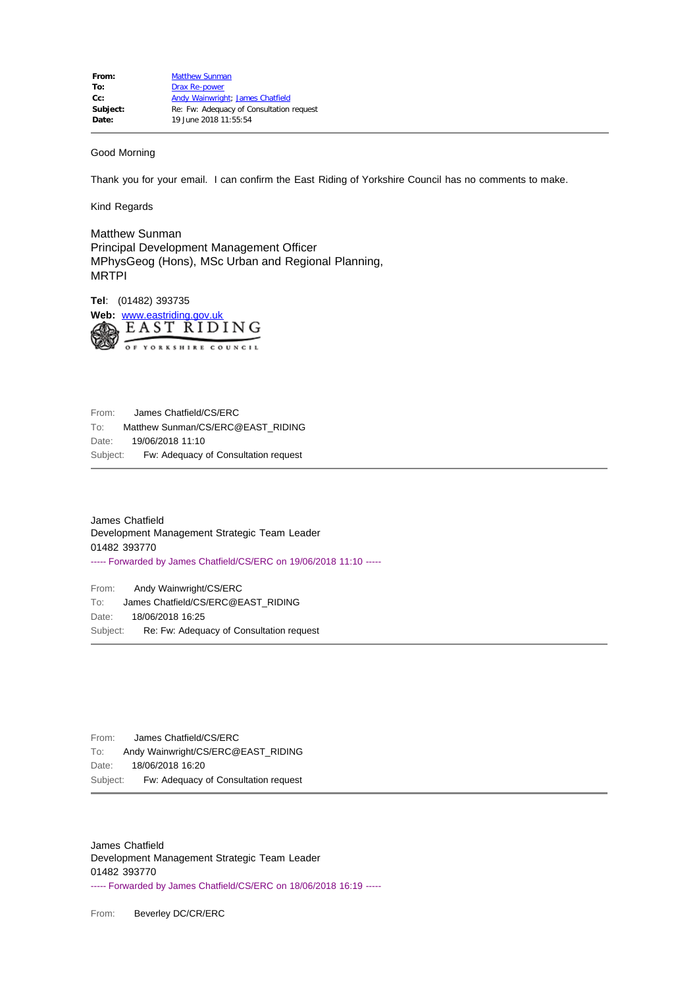## Good Morning

Thank you for your email. I can confirm the East Riding of Yorkshire Council has no comments to make.

Kind Regards

Matthew Sunman Principal Development Management Officer MPhysGeog (Hons), MSc Urban and Regional Planning, MRTPI

**Tel**: (01482) 393735 Web: [www.eastriding.gov.uk](file:////c/www.eastriding.gov.uk)<br>*EAST RIDING* OF YORKSHIRE COUNCIL

From: James Chatfield/CS/ERC To: Matthew Sunman/CS/ERC@EAST\_RIDING Date: 19/06/2018 11:10 Subject: Fw: Adequacy of Consultation request

```
James Chatfield
Development Management Strategic Team Leader
01482 393770
----- Forwarded by James Chatfield/CS/ERC on 19/06/2018 11:10 -----
```
From: Andy Wainwright/CS/ERC To: James Chatfield/CS/ERC@EAST\_RIDING Date: 18/06/2018 16:25 Subject: Re: Fw: Adequacy of Consultation request

From: James Chatfield/CS/ERC To: Andy Wainwright/CS/ERC@EAST\_RIDING Date: 18/06/2018 16:20 Subject: Fw: Adequacy of Consultation request

James Chatfield Development Management Strategic Team Leader 01482 393770 ----- Forwarded by James Chatfield/CS/ERC on 18/06/2018 16:19 -----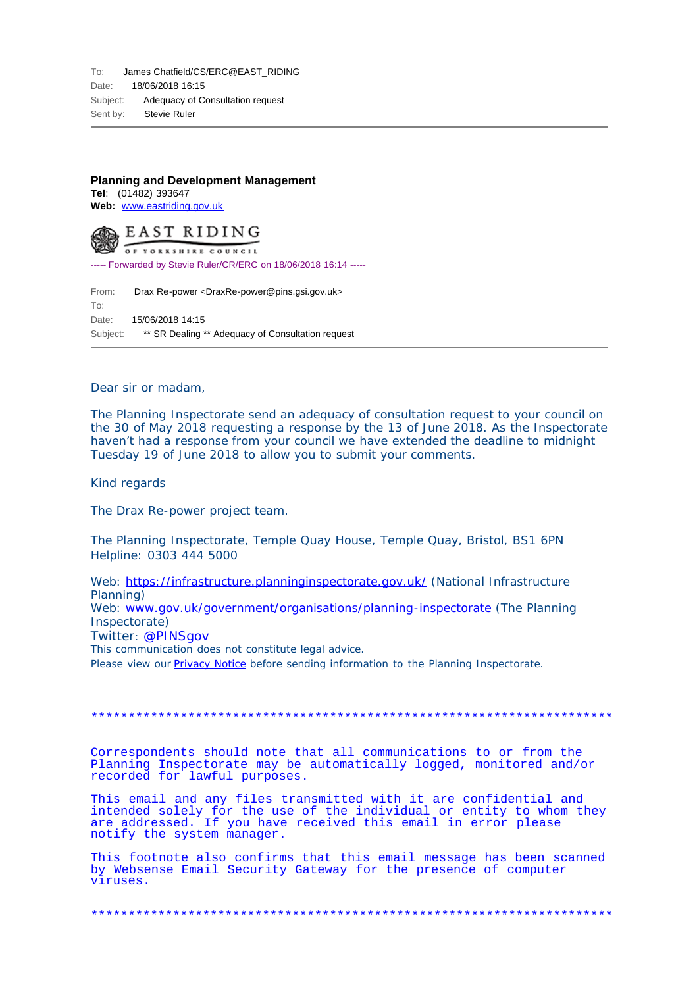## **Planning and Development Management**

**Tel**: (01482) 393647 **Web:** [www.eastriding.gov.uk](file:////c/www.eastriding.gov.uk)



----- Forwarded by Stevie Ruler/CR/ERC on 18/06/2018 16:14 -----

From: Drax Re-power <DraxRe-power@pins.gsi.gov.uk> To: Date: 15/06/2018 14:15 Subject: \*\* SR Dealing \*\* Adequacy of Consultation request

Dear sir or madam,

The Planning Inspectorate send an adequacy of consultation request to your council on the 30 of May 2018 requesting a response by the 13 of June 2018. As the Inspectorate haven't had a response from your council we have extended the deadline to midnight Tuesday 19 of June 2018 to allow you to submit your comments.

Kind regards

The Drax Re-power project team.

The Planning Inspectorate, Temple Quay House, Temple Quay, Bristol, BS1 6PN Helpline: 0303 444 5000

Web:<https://infrastructure.planninginspectorate.gov.uk/>(National Infrastructure Planning)

Web: [www.gov.uk/government/organisations/planning-inspectorate](http://www.gov.uk/government/organisations/planning-inspectorate) (The Planning Inspectorate)

Twitter: @PINSgov

This communication does not constitute legal advice.

Please view our **Privacy Notice** before sending information to the Planning Inspectorate.

\*\*\*\*\*\*\*\*\*\*\*\*\*\*\*\*\*\*\*\*\*\*\*\*\*\*\*\*\*\*\*\*\*\*\*\*\*\*\*\*\*\*\*\*\*\*\*\*\*\*\*\*\*\*\*\*\*\*\*\*\*\*\*\*\*\*\*\*\*\*

Correspondents should note that all communications to or from the Planning Inspectorate may be automatically logged, monitored and/or recorded for lawful purposes.

This email and any files transmitted with it are confidential and intended solely for the use of the individual or entity to whom they are addressed. If you have received this email in error please notify the system manager.

This footnote also confirms that this email message has been scanned by Websense Email Security Gateway for the presence of computer viruses.

\*\*\*\*\*\*\*\*\*\*\*\*\*\*\*\*\*\*\*\*\*\*\*\*\*\*\*\*\*\*\*\*\*\*\*\*\*\*\*\*\*\*\*\*\*\*\*\*\*\*\*\*\*\*\*\*\*\*\*\*\*\*\*\*\*\*\*\*\*\*